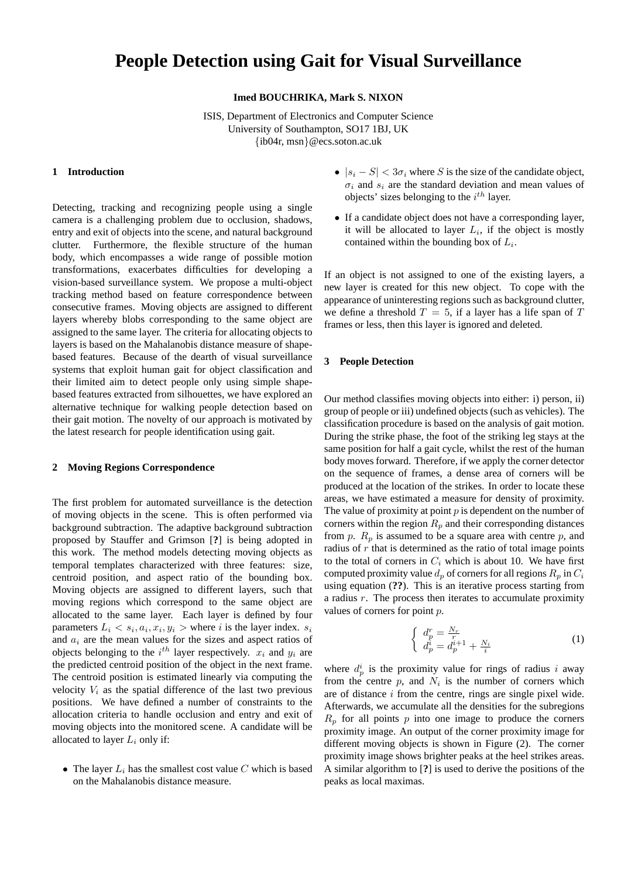# **People Detection using Gait for Visual Surveillance**

**Imed BOUCHRIKA, Mark S. NIXON**

ISIS, Department of Electronics and Computer Science University of Southampton, SO17 1BJ, UK {ib04r, msn}@ecs.soton.ac.uk

#### **1 Introduction**

Detecting, tracking and recognizing people using a single camera is a challenging problem due to occlusion, shadows, entry and exit of objects into the scene, and natural background clutter. Furthermore, the flexible structure of the human body, which encompasses a wide range of possible motion transformations, exacerbates difficulties for developing a vision-based surveillance system. We propose a multi-object tracking method based on feature correspondence between consecutive frames. Moving objects are assigned to different layers whereby blobs corresponding to the same object are assigned to the same layer. The criteria for allocating objects to layers is based on the Mahalanobis distance measure of shapebased features. Because of the dearth of visual surveillance systems that exploit human gait for object classification and their limited aim to detect people only using simple shapebased features extracted from silhouettes, we have explored an alternative technique for walking people detection based on their gait motion. The novelty of our approach is motivated by the latest research for people identification using gait.

#### **2 Moving Regions Correspondence**

The first problem for automated surveillance is the detection of moving objects in the scene. This is often performed via background subtraction. The adaptive background subtraction proposed by Stauffer and Grimson [**?**] is being adopted in this work. The method models detecting moving objects as temporal templates characterized with three features: size, centroid position, and aspect ratio of the bounding box. Moving objects are assigned to different layers, such that moving regions which correspond to the same object are allocated to the same layer. Each layer is defined by four parameters  $L_i < s_i, a_i, x_i, y_i >$  where i is the layer index.  $s_i$ and  $a_i$  are the mean values for the sizes and aspect ratios of objects belonging to the  $i^{th}$  layer respectively.  $x_i$  and  $y_i$  are the predicted centroid position of the object in the next frame. The centroid position is estimated linearly via computing the velocity  $V_i$  as the spatial difference of the last two previous positions. We have defined a number of constraints to the allocation criteria to handle occlusion and entry and exit of moving objects into the monitored scene. A candidate will be allocated to layer  $L_i$  only if:

• The layer  $L_i$  has the smallest cost value  $C$  which is based on the Mahalanobis distance measure.

- $|s_i S| < 3\sigma_i$  where S is the size of the candidate object,  $\sigma_i$  and  $s_i$  are the standard deviation and mean values of objects' sizes belonging to the  $i^{th}$  layer.
- If a candidate object does not have a corresponding layer, it will be allocated to layer  $L_i$ , if the object is mostly contained within the bounding box of  $L_i$ .

If an object is not assigned to one of the existing layers, a new layer is created for this new object. To cope with the appearance of uninteresting regions such as background clutter, we define a threshold  $T = 5$ , if a layer has a life span of T frames or less, then this layer is ignored and deleted.

### **3 People Detection**

Our method classifies moving objects into either: i) person, ii) group of people or iii) undefined objects (such as vehicles). The classification procedure is based on the analysis of gait motion. During the strike phase, the foot of the striking leg stays at the same position for half a gait cycle, whilst the rest of the human body moves forward. Therefore, if we apply the corner detector on the sequence of frames, a dense area of corners will be produced at the location of the strikes. In order to locate these areas, we have estimated a measure for density of proximity. The value of proximity at point  $p$  is dependent on the number of corners within the region  $R_p$  and their corresponding distances from p.  $R_p$  is assumed to be a square area with centre p, and radius of  $r$  that is determined as the ratio of total image points to the total of corners in  $C_i$  which is about 10. We have first computed proximity value  $d_p$  of corners for all regions  $R_p$  in  $C_i$ using equation (**??**). This is an iterative process starting from a radius  $r$ . The process then iterates to accumulate proximity values of corners for point p.

$$
\begin{cases} d_p^r = \frac{N_r}{r} \\ d_p^i = d_p^{i+1} + \frac{N_i}{i} \end{cases} \tag{1}
$$

where  $d_p^i$  is the proximity value for rings of radius i away from the centre  $p$ , and  $N_i$  is the number of corners which are of distance i from the centre, rings are single pixel wide. Afterwards, we accumulate all the densities for the subregions  $R_p$  for all points p into one image to produce the corners proximity image. An output of the corner proximity image for different moving objects is shown in Figure (2). The corner proximity image shows brighter peaks at the heel strikes areas. A similar algorithm to [**?**] is used to derive the positions of the peaks as local maximas.